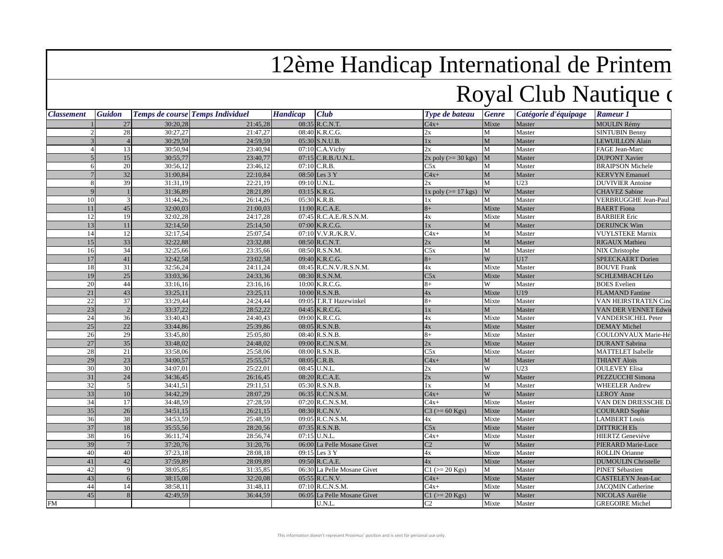## 12ème Handicap International de Printem

## Royal Club Nautique de

| <b>Classement</b> | <b>Guidon</b>         |          | <b>Temps de course Temps Individuel</b> | <b>Handicap</b> | <b>Club</b>                 | Type de bateau           | <b>Genre</b> | Catégorie d'équipage | <b>Rameur 1</b>            |
|-------------------|-----------------------|----------|-----------------------------------------|-----------------|-----------------------------|--------------------------|--------------|----------------------|----------------------------|
|                   | $27\,$                | 30:20,28 | 21:45,28                                |                 | 08:35 R.C.N.T.              | $C4x+$                   | Mixte        | Master               | <b>MOULIN Rémy</b>         |
|                   | 28                    | 30:27,27 | 21:47,27                                |                 | 08:40 K.R.C.G.              | 2x                       | M            | Master               | <b>SINTUBIN Benny</b>      |
|                   |                       | 30:29,59 | 24:59,59                                |                 | 05:30 S.N.U.B.              | $1\mathrm{x}$            | $\mathbf{M}$ | Master               | <b>LEWUILLON Alain</b>     |
|                   | 13                    | 30:50,94 | 23:40,94                                |                 | $07:10$ C.A. Vichy          | 2x                       | M            | Master               | FAGE Jean-Marc             |
|                   | 15                    | 30:55,77 | 23:40,77                                |                 | 07:15 C.R.B./U.N.L.         | $2x$ poly ( $>=$ 30 kgs) | M            | Master               | <b>DUPONT Xavier</b>       |
|                   | 20                    | 30:56,12 | 23:46,12                                |                 | 07:10 C.R.B.                | C5x                      | M            | Master               | <b>BRAIPSON Michele</b>    |
|                   | 32                    | 31:00,84 | 22:10,84                                |                 | 08:50 Les 3 Y               | $C4x+$                   | M            | Master               | <b>KERVYN</b> Emanuel      |
|                   | 39<br>8               | 31:31,19 | 22:21,19                                |                 | 09:10 U.N.L.                | 2x                       | M            | U23                  | <b>DUVIVIER Antoine</b>    |
|                   | $\mathbf Q$           | 31:36,89 | 28:21,89                                |                 | 03:15 K.R.G.                | $1x$ poly ( $>= 17$ kgs) | W            | Master               | <b>CHAVEZ</b> Sabine       |
|                   | 10<br>3               | 31:44,26 | 26:14,26                                |                 | 05:30 K.R.B.                | 1x                       | M            | Master               | VERBRUGGHE Jean-Paul       |
|                   | 45<br>11              | 32:00,03 | 21:00,03                                |                 | 11:00 R.C.A.E.              | $8+$                     | Mixte        | Master               | <b>BAERT</b> Fiona         |
|                   | 12<br>19              | 32:02,28 | 24:17,28                                |                 | 07:45 R.C.A.E./R.S.N.M.     | 4x                       | Mixte        | Master               | <b>BARBIER Eric</b>        |
|                   | 11<br>13              | 32:14,50 | 25:14,50                                |                 | 07:00 K.R.C.G.              | $1\mathrm{x}$            | $\mathbf{M}$ | Master               | <b>DERIJNCK Wim</b>        |
|                   | 12<br>14              | 32:17,54 | 25:07,54                                |                 | 07:10 V.V.R./K.R.V.         | $C4x+$                   | M            | Master               | <b>VUYLSTEKE Marnix</b>    |
|                   | 33<br>15              | 32:22,88 | 23:32,88                                |                 | 08:50 R.C.N.T.              | 2x                       | $\mathbf{M}$ | Master               | <b>RIGAUX Mathieu</b>      |
|                   | 34<br>16              | 32:25,66 | 23:35,66                                |                 | 08:50 R.S.N.M.              | C5x                      | M            | Master               | NIX Christophe             |
|                   | 17<br>41              | 32:42,58 | 23:02,58                                |                 | 09:40 K.R.C.G.              | $8+$                     | W            | U17                  | SPEECKAERT Dorien          |
|                   | 18<br>31              | 32:56,24 | 24:11,24                                |                 | 08:45 R.C.N.V./R.S.N.M.     | 4x                       | Mixte        | Master               | <b>BOUVE Frank</b>         |
|                   | 25<br>19              | 33:03,36 | 24:33,36                                |                 | 08:30 R.S.N.M.              | C5x                      | Mixte        | Master               | SCHLEMBACH Léo             |
|                   | 20<br>44              | 33:16,16 | 23:16,16                                |                 | 10:00 K.R.C.G.              | $8+$                     | W            | Master               | <b>BOES</b> Evelien        |
|                   | 21<br>43              | 33:25,11 | 23:25,11                                |                 | 10:00 R.S.N.B.              | 4x                       | Mixte        | U19                  | <b>FLAMAND</b> Fantine     |
|                   | 22<br>37              | 33:29,44 | 24:24,44                                |                 | 09:05 T.R.T Hazewinkel      | $8+$                     | Mixte        | Master               | VAN HEIRSTRATEN Cine       |
|                   | 23<br>$\overline{2}$  | 33:37,22 | 28:52,22                                |                 | $04:45$ K.R.C.G.            | 1x                       | $\mathbf M$  | Master               | VAN DER VENNET Edwi        |
|                   | 24<br>36              | 33:40,43 | 24:40,43                                |                 | 09:00 K.R.C.G.              | 4x                       | Mixte        | Master               | <b>VANDERSICHEL Peter</b>  |
|                   | 25<br>22              | 33:44,86 | 25:39,86                                |                 | 08:05 R.S.N.B.              | 4x                       | Mixte        | Master               | <b>DEMAY Michel</b>        |
|                   | 26<br>29              | 33:45,80 | 25:05,80                                |                 | 08:40 R.S.N.B.              | $8+$                     | Mixte        | Master               | COULONVAUX Marie-Hé        |
|                   | 27<br>35              | 33:48,02 | 24:48,02                                |                 | 09:00 R.C.N.S.M.            | 2x                       | Mixte        | Master               | <b>DURANT</b> Sabrina      |
|                   | 28<br>21              | 33:58,06 | 25:58,06                                |                 | 08:00 R.S.N.B.              | C5x                      | Mixte        | Master               | <b>MATTELET</b> Isabelle   |
|                   | 23<br>29              | 34:00,57 | 25:55,57                                |                 | 08:05 C.R.B.                | $C4x+$                   | $\mathbf M$  | Master               | <b>THIANT Aloïs</b>        |
|                   | 30<br>30              | 34:07.01 | 25:22,01                                |                 | 08:45 U.N.L.                | 2x                       | W            | U23                  | <b>OULEVEY Elisa</b>       |
|                   | 24<br>31              | 34:36,45 | 26:16,45                                |                 | 08:20 R.C.A.E.              | 2x                       | W            | Master               | PEZZUCCHI Simona           |
|                   | 32<br>5               | 34:41,51 | 29:11,51                                |                 | 05:30 R.S.N.B.              | 1x                       | M            | Master               | <b>WHEELER Andrew</b>      |
|                   | 33<br>10              | 34:42,29 | 28:07,29                                |                 | 06:35 R.C.N.S.M.            | $C4x+$                   | W            | Master               | <b>LEROY Anne</b>          |
|                   | 34<br>17              | 34:48.59 | 27:28,59                                |                 | 07:20 R.C.N.S.M.            | $C4x+$                   | Mixte        | Master               | VAN DEN DRIESSCHE D        |
|                   | 35<br>26              | 34:51,15 | 26:21,15                                |                 | 08:30 R.C.N.V.              | $C3 (= 60$ Kgs)          | Mixte        | Master               | <b>COURARD Sophie</b>      |
|                   | 38<br>36              | 34:53,59 | 25:48,59                                |                 | 09:05 R.C.N.S.M.            | 4x                       | Mixte        | Master               | <b>LAMBERT</b> Louis       |
|                   | 37<br>18              | 35:55,56 | 28:20,56                                |                 | 07:35 R.S.N.B.              | C5x                      | Mixte        | Master               | <b>DITTRICH Els</b>        |
|                   | 38<br>16              | 36:11,74 | 28:56,74                                |                 | 07:15 U.N.L.                | $C4x+$                   | Mixte        | Master               | <b>HIERTZ</b> Geneviève    |
|                   | 39<br>$7\phantom{.0}$ | 37:20,76 | 31:20,76                                |                 | 06:00 La Pelle Mosane Givet | C <sub>2</sub>           | W            | Master               | PIERARD Marie-Luce         |
|                   | 40<br>40              | 37:23,18 | 28:08,18                                |                 | 09:15 Les 3 Y               | 4x                       | Mixte        | Master               | <b>ROLLIN</b> Orianne      |
|                   | 41<br>42              | 37:59,89 | 28:09,89                                |                 | 09:50 R.C.A.E.              | 4x                       | Mixte        | Master               | <b>DUMOULIN Christelle</b> |
|                   | 42<br>9               | 38:05.85 | 31:35,85                                |                 | 06:30 La Pelle Mosane Givet | $C1$ ( $>= 20$ Kgs)      | M            | Master               | PINET Sébastien            |
|                   | 43<br>6               | 38:15,08 | 32:20,08                                |                 | 05:55 R.C.N.V.              | $C4x+$                   | Mixte        | Master               | CASTELEYN Jean-Luc         |
|                   | 44<br>14              | 38:58,11 | 31:48,11                                |                 | 07:10 R.C.N.S.M.            | $C4x+$                   | Mixte        | Master               | <b>JACQMIN Catherine</b>   |
|                   | 45<br>8               | 42:49,59 | 36:44,59                                |                 | 06:05 La Pelle Mosane Givet | $C1$ ( $>= 20$ Kgs)      | W            | Master               | NICOLAS Aurélie            |
| <b>FM</b>         |                       |          |                                         |                 | U.N.L.                      | C2                       | Mixte        | Master               | <b>GREGOIRE Michel</b>     |